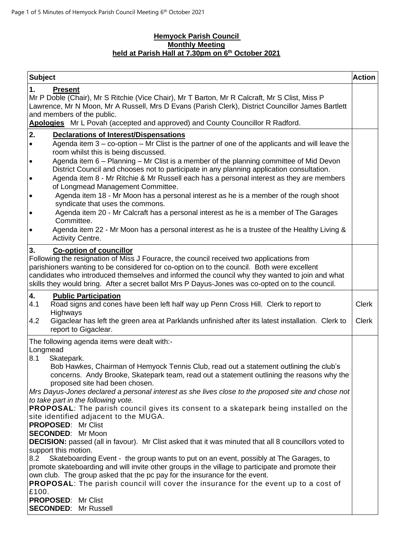### **Hemyock Parish Council Monthly Meeting held at Parish Hall at 7.30pm on 6 th October 2021**

| <b>Subject</b>                                                                                                                                                                                                                                                                                                                                                                                                                                                                                                                                                                                                                                                                                                                                                                                                                                                                                                                                                                                                                                                                                                                                                                                                      | <b>Action</b>                |
|---------------------------------------------------------------------------------------------------------------------------------------------------------------------------------------------------------------------------------------------------------------------------------------------------------------------------------------------------------------------------------------------------------------------------------------------------------------------------------------------------------------------------------------------------------------------------------------------------------------------------------------------------------------------------------------------------------------------------------------------------------------------------------------------------------------------------------------------------------------------------------------------------------------------------------------------------------------------------------------------------------------------------------------------------------------------------------------------------------------------------------------------------------------------------------------------------------------------|------------------------------|
| 1.<br><b>Present</b><br>Mr P Doble (Chair), Mr S Ritchie (Vice Chair), Mr T Barton, Mr R Calcraft, Mr S Clist, Miss P<br>Lawrence, Mr N Moon, Mr A Russell, Mrs D Evans (Parish Clerk), District Councillor James Bartlett<br>and members of the public.<br>Apologies Mr L Povah (accepted and approved) and County Councillor R Radford.                                                                                                                                                                                                                                                                                                                                                                                                                                                                                                                                                                                                                                                                                                                                                                                                                                                                           |                              |
| 2.<br><b>Declarations of Interest/Dispensations</b><br>Agenda item $3 -$ co-option $-$ Mr Clist is the partner of one of the applicants and will leave the<br>$\bullet$<br>room whilst this is being discussed.<br>Agenda item 6 - Planning - Mr Clist is a member of the planning committee of Mid Devon<br>$\bullet$<br>District Council and chooses not to participate in any planning application consultation.<br>Agenda item 8 - Mr Ritchie & Mr Russell each has a personal interest as they are members<br>$\bullet$<br>of Longmead Management Committee.<br>Agenda item 18 - Mr Moon has a personal interest as he is a member of the rough shoot<br>$\bullet$<br>syndicate that uses the commons.<br>Agenda item 20 - Mr Calcraft has a personal interest as he is a member of The Garages<br>$\bullet$<br>Committee.<br>Agenda item 22 - Mr Moon has a personal interest as he is a trustee of the Healthy Living &<br>$\bullet$<br>Activity Centre.                                                                                                                                                                                                                                                     |                              |
| 3.<br><b>Co-option of councillor</b><br>Following the resignation of Miss J Fouracre, the council received two applications from<br>parishioners wanting to be considered for co-option on to the council. Both were excellent<br>candidates who introduced themselves and informed the council why they wanted to join and what<br>skills they would bring. After a secret ballot Mrs P Dayus-Jones was co-opted on to the council.                                                                                                                                                                                                                                                                                                                                                                                                                                                                                                                                                                                                                                                                                                                                                                                |                              |
| 4.<br><b>Public Participation</b><br>4.1<br>Road signs and cones have been left half way up Penn Cross Hill. Clerk to report to<br>Highways<br>Gigaclear has left the green area at Parklands unfinished after its latest installation. Clerk to<br>4.2<br>report to Gigaclear.                                                                                                                                                                                                                                                                                                                                                                                                                                                                                                                                                                                                                                                                                                                                                                                                                                                                                                                                     | <b>Clerk</b><br><b>Clerk</b> |
| The following agenda items were dealt with:-<br>Longmead<br>8.1<br>Skatepark.<br>Bob Hawkes, Chairman of Hemyock Tennis Club, read out a statement outlining the club's<br>concerns. Andy Brooke, Skatepark team, read out a statement outlining the reasons why the<br>proposed site had been chosen.<br>Mrs Dayus-Jones declared a personal interest as she lives close to the proposed site and chose not<br>to take part in the following vote.<br><b>PROPOSAL:</b> The parish council gives its consent to a skatepark being installed on the<br>site identified adjacent to the MUGA.<br><b>PROPOSED: Mr Clist</b><br><b>SECONDED:</b> Mr Moon<br><b>DECISION:</b> passed (all in favour). Mr Clist asked that it was minuted that all 8 councillors voted to<br>support this motion.<br>8.2<br>Skateboarding Event - the group wants to put on an event, possibly at The Garages, to<br>promote skateboarding and will invite other groups in the village to participate and promote their<br>own club. The group asked that the pc pay for the insurance for the event.<br><b>PROPOSAL:</b> The parish council will cover the insurance for the event up to a cost of<br>£100.<br><b>PROPOSED:</b> Mr Clist |                              |
| <b>SECONDED: Mr Russell</b>                                                                                                                                                                                                                                                                                                                                                                                                                                                                                                                                                                                                                                                                                                                                                                                                                                                                                                                                                                                                                                                                                                                                                                                         |                              |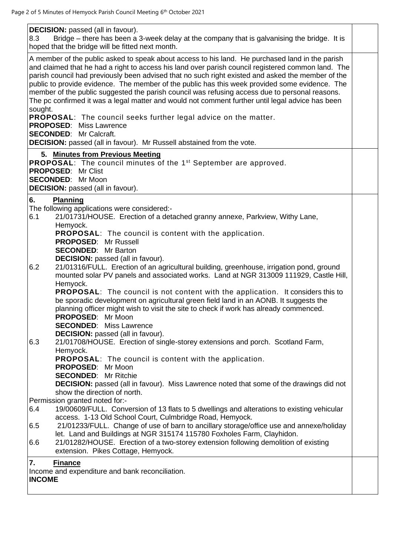**DECISION:** passed (all in favour).

| 8.3 | Bridge – there has been a 3-week delay at the company that is galvanising the bridge. It is |  |
|-----|---------------------------------------------------------------------------------------------|--|
|     | hoped that the bridge will be fitted next month.                                            |  |

A member of the public asked to speak about access to his land. He purchased land in the parish and claimed that he had a right to access his land over parish council registered common land. The parish council had previously been advised that no such right existed and asked the member of the public to provide evidence. The member of the public has this week provided some evidence. The member of the public suggested the parish council was refusing access due to personal reasons. The pc confirmed it was a legal matter and would not comment further until legal advice has been sought.

**PROPOSAL**: The council seeks further legal advice on the matter.

**PROPOSED**: Miss Lawrence

**SECONDED**: Mr Calcraft.

**DECISION:** passed (all in favour). Mr Russell abstained from the vote.

# **5. Minutes from Previous Meeting**

**PROPOSAL:** The council minutes of the 1<sup>st</sup> September are approved. **PROPOSED**: Mr Clist **SECONDED**: Mr Moon

**DECISION:** passed (all in favour).

# **6. Planning**

The following applications were considered:-

| 6.1 | 21/01731/HOUSE. Erection of a detached granny annexe, Parkview, Withy Lane, |  |
|-----|-----------------------------------------------------------------------------|--|
|     | Hemyock.                                                                    |  |
|     | <b>PROPOSAL:</b> The council is content with the application.               |  |

**PROPOSED**: Mr Russell

**SECONDED**: Mr Barton

**DECISION:** passed (all in favour).

6.2 21/01316/FULL. Erection of an agricultural building, greenhouse, irrigation pond, ground mounted solar PV panels and associated works. Land at NGR 313009 111929, Castle Hill, Hemyock.

**PROPOSAL**: The council is not content with the application. It considers this to be sporadic development on agricultural green field land in an AONB. It suggests the planning officer might wish to visit the site to check if work has already commenced. **PROPOSED**: Mr Moon

**SECONDED**: Miss Lawrence

**DECISION:** passed (all in favour).

6.3 21/01708/HOUSE. Erection of single-storey extensions and porch. Scotland Farm, Hemyock.

**PROPOSAL**: The council is content with the application.

- **PROPOSED**: Mr Moon
- **SECONDED**: Mr Ritchie

**DECISION:** passed (all in favour). Miss Lawrence noted that some of the drawings did not show the direction of north.

Permission granted noted for:-

- 6.4 19/00609/FULL. Conversion of 13 flats to 5 dwellings and alterations to existing vehicular access. 1-13 Old School Court, Culmbridge Road, Hemyock.
- 6.5 21/01233/FULL. Change of use of barn to ancillary storage/office use and annexe/holiday let. Land and Buildings at NGR 315174 115780 Foxholes Farm, Clayhidon.
- 6.6 21/01282/HOUSE. Erection of a two-storey extension following demolition of existing extension. Pikes Cottage, Hemyock.

# **7. Finance**

Income and expenditure and bank reconciliation.

# **INCOME**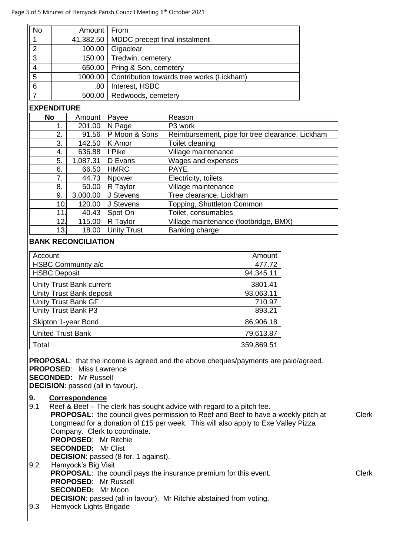| <b>No</b> | Amount   From |                                                     |  |
|-----------|---------------|-----------------------------------------------------|--|
|           |               | 41,382.50   MDDC precept final instalment           |  |
| າ         |               | 100.00 Gigaclear                                    |  |
| 3         |               | 150.00   Tredwin, cemetery                          |  |
|           |               | 650.00   Pring & Son, cemetery                      |  |
| 5         |               | 1000.00   Contribution towards tree works (Lickham) |  |
| 6         | .80           | Interest, HSBC                                      |  |
|           |               | 500.00   Redwoods, cemetery                         |  |

### **EXPENDITURE**

| <b>No</b> | Amount   | Payee              | Reason                                          |
|-----------|----------|--------------------|-------------------------------------------------|
| 1.        | 201.00   | N Page             | P3 work                                         |
| 2.        | 91.56    | P Moon & Sons      | Reimbursement, pipe for tree clearance, Lickham |
| 3.        | 142.50   | K Amor             | Toilet cleaning                                 |
| 4.        | 636.88   | I Pike             | Village maintenance                             |
| 5.        | 1,087.31 | D Evans            | Wages and expenses                              |
| 6.        | 66.50    | <b>HMRC</b>        | <b>PAYE</b>                                     |
| 7.        | 44.73    | Npower             | Electricity, toilets                            |
| 8.        | 50.00    | R Taylor           | Village maintenance                             |
| 9.        | 3,000.00 | J Stevens          | Tree clearance, Lickham                         |
| 10.       | 120.00   | J Stevens          | Topping, Shuttleton Common                      |
| 11.       | 40.43    | Spot On            | Toilet, consumables                             |
| 12.       | 115.00   | R Taylor           | Village maintenance (footbridge, BMX)           |
| 13.       | 18.00    | <b>Unity Trust</b> | Banking charge                                  |

#### **BANK RECONCILIATION**

| Account                         | Amount     |
|---------------------------------|------------|
| HSBC Community a/c              | 477.72     |
| <b>HSBC Deposit</b>             | 94,345.11  |
| <b>Unity Trust Bank current</b> | 3801.41    |
| Unity Trust Bank deposit        | 93,063.11  |
| Unity Trust Bank GF             | 710.97     |
| Unity Trust Bank P3             | 893.21     |
| Skipton 1-year Bond             | 86,906.18  |
| <b>United Trust Bank</b>        | 79,613.87  |
| Total                           | 359,869.51 |

**PROPOSAL**: that the income is agreed and the above cheques/payments are paid/agreed. **PROPOSED**: Miss Lawrence **SECONDED:** Mr Russell **DECISION**: passed (all in favour).

# **9. Correspondence**

| Reef & Beef – The clerk has sought advice with regard to a pitch fee.<br><b>PROPOSAL:</b> the council gives permission to Reef and Beef to have a weekly pitch at<br>Longmead for a donation of £15 per week. This will also apply to Exe Valley Pizza | <b>Clerk</b>                  |
|--------------------------------------------------------------------------------------------------------------------------------------------------------------------------------------------------------------------------------------------------------|-------------------------------|
| <b>PROPOSED:</b> Mr Ritchie                                                                                                                                                                                                                            |                               |
| <b>SECONDED: Mr Clist</b>                                                                                                                                                                                                                              |                               |
| <b>DECISION:</b> passed (8 for, 1 against).                                                                                                                                                                                                            |                               |
| Hemyock's Big Visit                                                                                                                                                                                                                                    |                               |
| <b>PROPOSAL:</b> the council pays the insurance premium for this event.                                                                                                                                                                                | <b>Clerk</b>                  |
| <b>PROPOSED: Mr Russell</b>                                                                                                                                                                                                                            |                               |
| <b>SECONDED:</b> Mr Moon                                                                                                                                                                                                                               |                               |
| <b>DECISION:</b> passed (all in favour). Mr Ritchie abstained from voting.                                                                                                                                                                             |                               |
| Hemyock Lights Brigade                                                                                                                                                                                                                                 |                               |
|                                                                                                                                                                                                                                                        | Company. Clerk to coordinate. |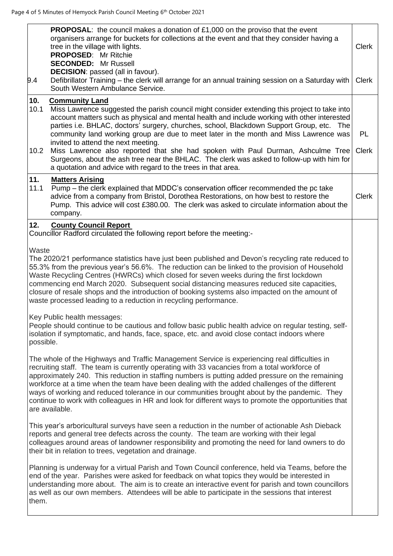| 9.4                 | <b>PROPOSAL:</b> the council makes a donation of £1,000 on the proviso that the event<br>organisers arrange for buckets for collections at the event and that they consider having a<br>tree in the village with lights.<br><b>PROPOSED:</b> Mr Ritchie<br><b>SECONDED:</b> Mr Russell<br><b>DECISION:</b> passed (all in favour).<br>Defibrillator Training - the clerk will arrange for an annual training session on a Saturday with<br>South Western Ambulance Service.                                                                                                                                                                                                                              | <b>Clerk</b><br><b>Clerk</b> |
|---------------------|----------------------------------------------------------------------------------------------------------------------------------------------------------------------------------------------------------------------------------------------------------------------------------------------------------------------------------------------------------------------------------------------------------------------------------------------------------------------------------------------------------------------------------------------------------------------------------------------------------------------------------------------------------------------------------------------------------|------------------------------|
| 10.<br>10.1<br>10.2 | <b>Community Land</b><br>Miss Lawrence suggested the parish council might consider extending this project to take into<br>account matters such as physical and mental health and include working with other interested<br>parties i.e. BHLAC, doctors' surgery, churches, school, Blackdown Support Group, etc.<br>The<br>community land working group are due to meet later in the month and Miss Lawrence was<br>invited to attend the next meeting.<br>Miss Lawrence also reported that she had spoken with Paul Durman, Ashculme Tree<br>Surgeons, about the ash tree near the BHLAC. The clerk was asked to follow-up with him for<br>a quotation and advice with regard to the trees in that area. | PL<br><b>Clerk</b>           |
| 11.<br>11.1         | <b>Matters Arising</b><br>Pump – the clerk explained that MDDC's conservation officer recommended the pc take<br>advice from a company from Bristol, Dorothea Restorations, on how best to restore the<br>Pump. This advice will cost £380.00. The clerk was asked to circulate information about the<br>company.                                                                                                                                                                                                                                                                                                                                                                                        | <b>Clerk</b>                 |
| 12.                 | <b>County Council Report</b><br>Councillor Radford circulated the following report before the meeting:-                                                                                                                                                                                                                                                                                                                                                                                                                                                                                                                                                                                                  |                              |
| Waste               | The 2020/21 performance statistics have just been published and Devon's recycling rate reduced to<br>55.3% from the previous year's 56.6%. The reduction can be linked to the provision of Household<br>Waste Recycling Centres (HWRCs) which closed for seven weeks during the first lockdown<br>commencing end March 2020. Subsequent social distancing measures reduced site capacities,<br>closure of resale shops and the introduction of booking systems also impacted on the amount of<br>waste processed leading to a reduction in recycling performance.                                                                                                                                        |                              |
| possible.           | Key Public health messages:<br>People should continue to be cautious and follow basic public health advice on regular testing, self-<br>isolation if symptomatic, and hands, face, space, etc. and avoid close contact indoors where                                                                                                                                                                                                                                                                                                                                                                                                                                                                     |                              |
|                     | The whole of the Highways and Traffic Management Service is experiencing real difficulties in<br>recruiting staff. The team is currently operating with 33 vacancies from a total workforce of<br>approximately 240. This reduction in staffing numbers is putting added pressure on the remaining<br>workforce at a time when the team have been dealing with the added challenges of the different<br>ways of working and reduced tolerance in our communities brought about by the pandemic. They<br>continue to work with colleagues in HR and look for different ways to promote the opportunities that<br>are available.                                                                           |                              |
|                     | This year's arboricultural surveys have seen a reduction in the number of actionable Ash Dieback<br>reports and general tree defects across the county. The team are working with their legal<br>colleagues around areas of landowner responsibility and promoting the need for land owners to do<br>their bit in relation to trees, vegetation and drainage.                                                                                                                                                                                                                                                                                                                                            |                              |
| them.               | Planning is underway for a virtual Parish and Town Council conference, held via Teams, before the<br>end of the year. Parishes were asked for feedback on what topics they would be interested in<br>understanding more about. The aim is to create an interactive event for parish and town councillors<br>as well as our own members. Attendees will be able to participate in the sessions that interest                                                                                                                                                                                                                                                                                              |                              |